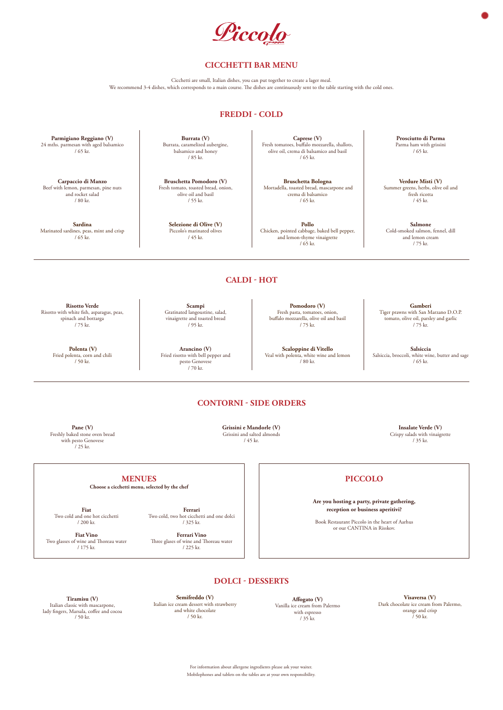Liccolo

### **CICCHETTI BAR MENU**

Cicchetti are small, Italian dishes, you can put together to create a lager meal. We recommend 3-4 dishes, which corresponds to a main course. The dishes are continuously sent to the table starting with the cold ones.

### **DOLCI - DESSERTS**

**MENUES**

**Choose a cicchetti menu, selected by the chef**

**Fiat**  Two cold and one hot cicchetti / 200 kr.

**Fiat Vino** Two glasses of wine and Thoreau water / 175 kr.

**Ferrari**  Two cold, two hot cicchetti and one dolci / 325 kr.

**Ferrari Vino** Three glases of wine and Thoreau water / 225 kr.

**Tiramisu (V)**  Italian classic with mascarpone, lady fingers, Marsala, coffee and cocoa / 50 kr.

**Affogato (V)**  Vanilla ice cream from Palermo with espresso / 35 kr.

For information about allergene ingredients please ask your waiter. Mobilephones and tablets on the tables are at your own responsibility.

## **PICCOLO**

**Are you hosting a party, private gathering, reception or business aperitivi?**

Book Restaurant Piccolo in the heart of Aarhus or our CANTINA in Risskov.

# **FREDDI - COLD**

**Parmigiano Reggiano (V)**  24 mths. parmesan with aged balsamico

/ 65 kr.

**Bruschetta Pomodoro (V)** Fresh tomato, toasted bread, onion, olive oil and basil / 55 kr.

**Burrata (V)**  Burrata, caramelized aubergine, balsamico and honey / 85 kr.

**Prosciutto di Parma**  Parma ham with grissini / 65 kr.

### **CALDI - HOT**

**Caprese (V)**  Fresh tomatoes, buffalo mozzarella, shallots, olive oil, crema di balsamico and basil / 65 kr.

**Carpaccio di Manzo** Beef with lemon, parmesan, pine nuts and rocket salad / 80 kr.

**Risotto Verde**  Risotto with white fish, asparagus, peas, spinach and bottarga / 75 kr.

**Scampi**  Gratinated langoustine, salad, vinaigrette and toasted bread / 95 kr.

> **Salsiccia**  Salsiccia, broccoli, white wine, butter and sage / 65 kr.

**Arancino (V)** Fried risotto with bell pepper and pesto Genovese / 70 kr.

**Salmone** Cold-smoked salmon, fennel, dill and lemon cream / 75 kr.

### **CONTORNI - SIDE ORDERS**

**Insalate Verde (V)** Crispy salads with vinaigrette / 35 kr.

**Grissini e Mandorle (V)** Grissini and salted almonds / 45 kr.

**Pane (V)** Freshly baked stone oven bread with pesto Genovese / 25 kr.

**Sardina** Marinated sardines, peas, mint and crisp / 65 kr.

**Selezione di Olive (V)** Piccolo's marinated olives / 45 kr.

**Bruschetta Bologna** Mortadella, toasted bread, mascarpone and crema di balsamico / 65 kr.

**Pollo** Chicken, pointed cabbage, baked bell pepper, and lemon-thyme vinaigrette / 65 kr.

**Verdure Misti (V)** Summer greens, herbs, olive oil and fresh ricotta / 45 kr.

**Polenta (V)** Fried polenta, corn and chili / 50 kr.

**Pomodoro (V)** Fresh pasta, tomatoes, onion, buffalo mozzarella, olive oil and basil / 75 kr.

**Scaloppine di Vitello**  Veal with polenta, white wine and lemon / 80 kr.

#### **Gamberi** Tiger prawns with San Marzano D.O.P. tomato, olive oil, parsley and garlic / 75 kr.

**Semifreddo (V)** Italian ice cream dessert with strawberry and white chocolate / 50 kr.

**Visaversa (V)** Dark chocolate ice cream from Palermo, orange and crisp / 50 kr.